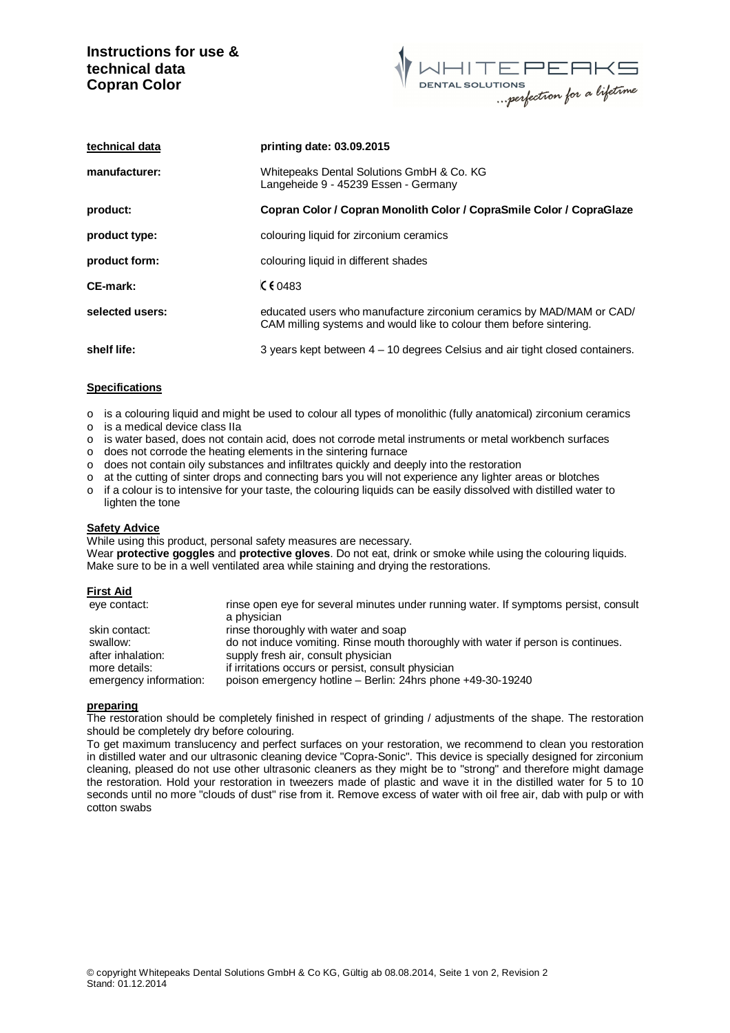# **Instructions for use & technical data Copran Color**



| technical data  | printing date: 03.09.2015                                                                                                                   |
|-----------------|---------------------------------------------------------------------------------------------------------------------------------------------|
| manufacturer:   | Whitepeaks Dental Solutions GmbH & Co. KG<br>Langeheide 9 - 45239 Essen - Germany                                                           |
| product:        | Copran Color / Copran Monolith Color / CopraSmile Color / CopraGlaze                                                                        |
| product type:   | colouring liquid for zirconium ceramics                                                                                                     |
| product form:   | colouring liquid in different shades                                                                                                        |
| CE-mark:        | C60483                                                                                                                                      |
| selected users: | educated users who manufacture zirconium ceramics by MAD/MAM or CAD/<br>CAM milling systems and would like to colour them before sintering. |
| shelf life:     | 3 years kept between $4 - 10$ degrees Celsius and air tight closed containers.                                                              |

### **Specifications**

- o is a colouring liquid and might be used to colour all types of monolithic (fully anatomical) zirconium ceramics
- o is a medical device class IIa
- o is water based, does not contain acid, does not corrode metal instruments or metal workbench surfaces
- o does not corrode the heating elements in the sintering furnace
- $\circ$  does not contain oily substances and infiltrates quickly and deeply into the restoration
- o at the cutting of sinter drops and connecting bars you will not experience any lighter areas or blotches
- o if a colour is to intensive for your taste, the colouring liquids can be easily dissolved with distilled water to lighten the tone

### **Safety Advice**

While using this product, personal safety measures are necessary.

Wear **protective goggles** and **protective gloves**. Do not eat, drink or smoke while using the colouring liquids. Make sure to be in a well ventilated area while staining and drying the restorations.

### **First Aid**

| eve contact:           | rinse open eye for several minutes under running water. If symptoms persist, consult |
|------------------------|--------------------------------------------------------------------------------------|
|                        | a physician                                                                          |
| skin contact:          | rinse thoroughly with water and soap                                                 |
| swallow:               | do not induce vomiting. Rinse mouth thoroughly with water if person is continues.    |
| after inhalation:      | supply fresh air, consult physician                                                  |
| more details:          | if irritations occurs or persist, consult physician                                  |
| emergency information: | poison emergency hotline - Berlin: 24hrs phone +49-30-19240                          |

### **preparing**

The restoration should be completely finished in respect of grinding / adjustments of the shape. The restoration should be completely dry before colouring.

To get maximum translucency and perfect surfaces on your restoration, we recommend to clean you restoration in distilled water and our ultrasonic cleaning device "Copra-Sonic". This device is specially designed for zirconium cleaning, pleased do not use other ultrasonic cleaners as they might be to "strong" and therefore might damage the restoration. Hold your restoration in tweezers made of plastic and wave it in the distilled water for 5 to 10 seconds until no more "clouds of dust" rise from it. Remove excess of water with oil free air, dab with pulp or with cotton swabs